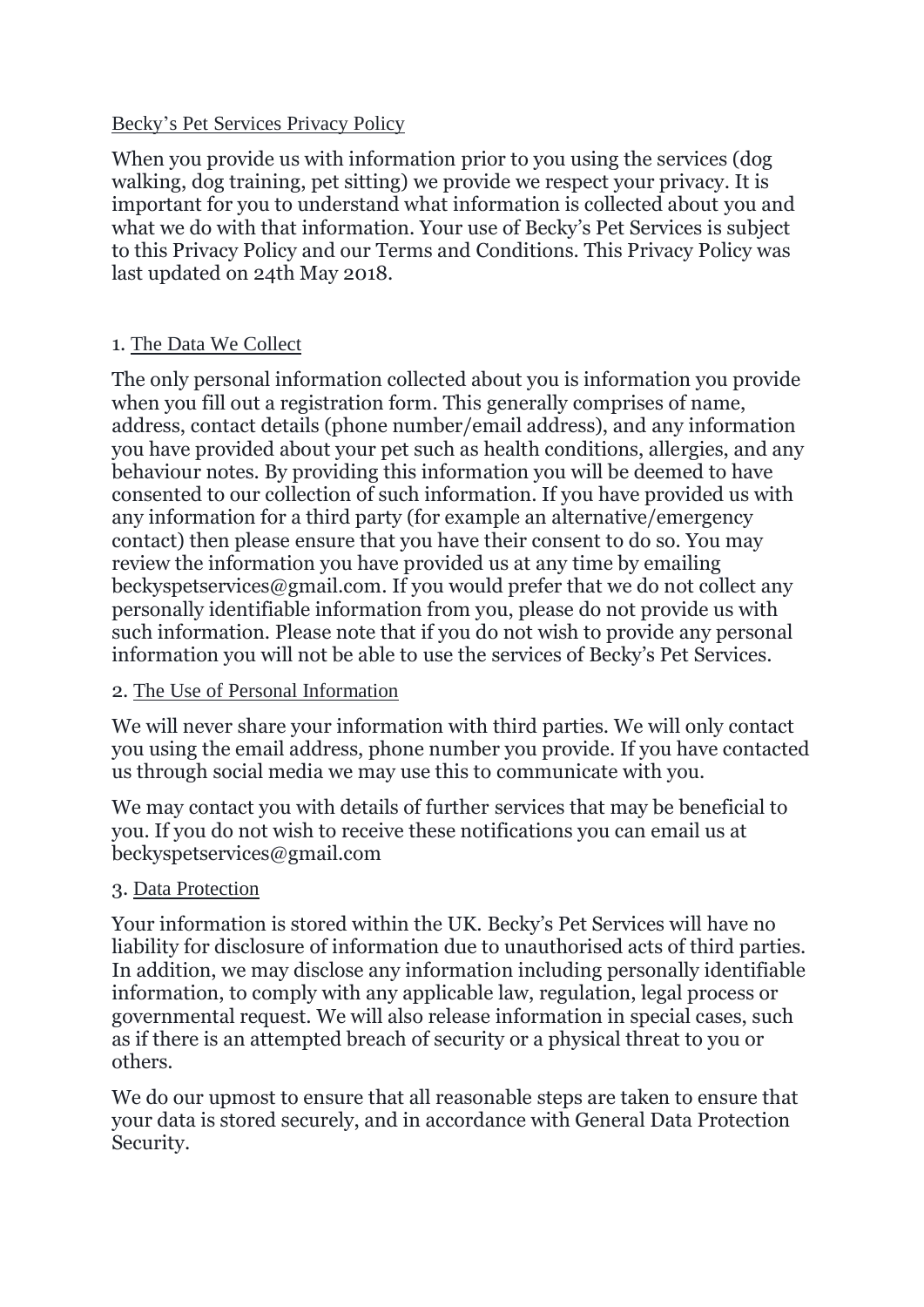#### Becky's Pet Services Privacy Policy

When you provide us with information prior to you using the services (dog walking, dog training, pet sitting) we provide we respect your privacy. It is important for you to understand what information is collected about you and what we do with that information. Your use of Becky's Pet Services is subject to this Privacy Policy and our Terms and Conditions. This Privacy Policy was last updated on 24th May 2018.

# 1. The Data We Collect

The only personal information collected about you is information you provide when you fill out a registration form. This generally comprises of name, address, contact details (phone number/email address), and any information you have provided about your pet such as health conditions, allergies, and any behaviour notes. By providing this information you will be deemed to have consented to our collection of such information. If you have provided us with any information for a third party (for example an alternative/emergency contact) then please ensure that you have their consent to do so. You may review the information you have provided us at any time by emailing beckyspetservices@gmail.com. If you would prefer that we do not collect any personally identifiable information from you, please do not provide us with such information. Please note that if you do not wish to provide any personal information you will not be able to use the services of Becky's Pet Services.

# 2. The Use of Personal Information

We will never share your information with third parties. We will only contact you using the email address, phone number you provide. If you have contacted us through social media we may use this to communicate with you.

We may contact you with details of further services that may be beneficial to you. If you do not wish to receive these notifications you can email us at beckyspetservices@gmail.com

# 3. Data Protection

Your information is stored within the UK. Becky's Pet Services will have no liability for disclosure of information due to unauthorised acts of third parties. In addition, we may disclose any information including personally identifiable information, to comply with any applicable law, regulation, legal process or governmental request. We will also release information in special cases, such as if there is an attempted breach of security or a physical threat to you or others.

We do our upmost to ensure that all reasonable steps are taken to ensure that your data is stored securely, and in accordance with General Data Protection Security.